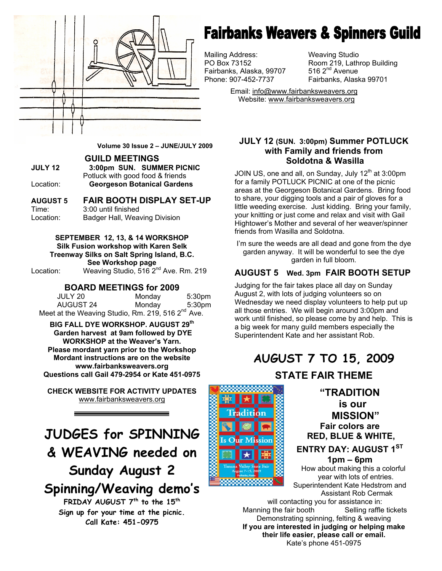

**Volume 30 Issue 2 – JUNE/JULY 2009** 

#### **GUILD MEETINGS**

**JULY 12 3:00pm SUN. SUMMER PICNIC**  Potluck with good food & friends Location: **Georgeson Botanical Gardens** 

#### **AUGUST 5 FAIR BOOTH DISPLAY SET-UP**

Time: 3:00 until finished Location: Badger Hall, Weaving Division

> **SEPTEMBER 12, 13, & 14 WORKSHOP Silk Fusion workshop with Karen Selk**

**Treenway Silks on Salt Spring Island, B.C. See Workshop page** 

Location: Weaving Studio, 516 2nd Ave. Rm. 219

#### **BOARD MEETINGS for 2009**

| JULY 20                                                       | Monday | 5:30 <sub>pm</sub> |
|---------------------------------------------------------------|--------|--------------------|
| <b>AUGUST 24</b>                                              | Mondav | 5:30pm             |
| Meet at the Weaving Studio, Rm. 219, 516 2 <sup>nd</sup> Ave. |        |                    |

**BIG FALL DYE WORKSHOP. AUGUST 29th Garden harvest at 9am followed by DYE WORKSHOP at the Weaver's Yarn. Please mordant yarn prior to the Workshop Mordant instructions are on the website www.fairbanksweavers.org Questions call Gail 479-2954 or Kate 451-0975**

**CHECK WEBSITE FOR ACTIVITY UPDATES** www.fairbanksweavers.org

**JUDGES for SPINNING & WEAVING needed on Sunday August 2** 

**Spinning/Weaving demo's** 

**FRIDAY AUGUST 7th to the 15th Sign up for your time at the picnic. Call Kate: 451-0975** 

## **Fairbanks Weavers & Spinners Guild**

Mailing Address: Weaving Studio Fairbanks, Alaska, 99707<br>Phone: 907-452-7737

PO Box 73152 Room 219, Lathrop Building<br>Fairbanks, Alaska, 99707 516 2<sup>nd</sup> Avenue Fairbanks, Alaska 99701

> Email: info@www.fairbanksweavers.org Website: www.fairbanksweavers.org

#### **JULY 12 (SUN. 3:00pm) Summer POTLUCK with Family and friends from Soldotna & Wasilla**

JOIN US, one and all, on Sunday, July  $12<sup>th</sup>$  at 3:00pm for a family POTLUCK PICNIC at one of the picnic areas at the Georgeson Botanical Gardens. Bring food to share, your digging tools and a pair of gloves for a little weeding exercise. Just kidding. Bring your family, your knitting or just come and relax and visit with Gail Hightower's Mother and several of her weaver/spinner friends from Wasilla and Soldotna.

I'm sure the weeds are all dead and gone from the dye garden anyway. It will be wonderful to see the dye garden in full bloom.

#### **AUGUST 5 Wed. 3pm FAIR BOOTH SETUP**

all those entries. We will begin around 3:00pm and<br>work until finished, so please come by and help. Th a big week for many guild members especially the<br>Superintendent Kate and her assistant Pob It has been many years since the guild has polled the guild has polled the guild has polled the guild has polled the guild has polled the guild has polled the guild has polled the guild has polled the guild has polled the Judging for the fair takes place all day on Sunday August 2, with lots of judging volunteers so on Wednesday we need display volunteers to help put up work until finished, so please come by and help. This is Superintendent Kate and her assistant Rob.

#### programs of interest and interest and what is not interested and what is interest and what is interest and wha direction the guild should be taking that would best **AUGUST 7 TO 15, 2009**

**STATE FAIR THEME** 

**hope that you will take the time to fill out of the top fill out of the top fill out of the top fill out of th**  $\frac{1}{2}$  and  $\frac{1}{2}$  and  $\frac{1}{2}$  and  $\frac{1}{2}$  **is our MISSION" Fair colors are RED, BLUE & WHITE,** 

#### **ENTRY DAY: AUGUST 1ST**

**1pm – 6pm**<br>How about making this a colorful year with lots of entries. Superintendent Kate Hedstrom and Assistant Rob Cermak

their life easier, please call or email. will contacting you for assistance in: Manning the fair booth Selling raffle tickets Demonstrating spinning, felting & weaving **If you are interested in judging or helping make**  Kate's phone 451-0975

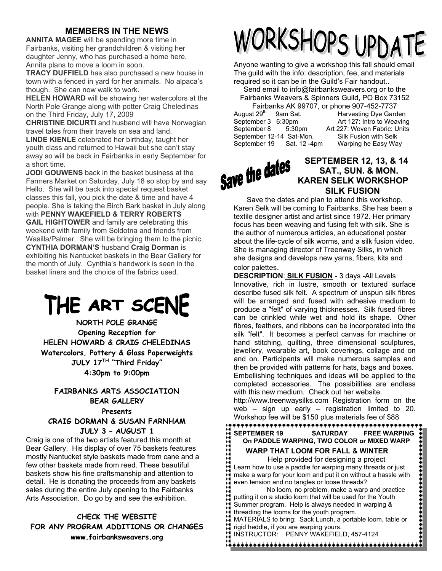#### **MEMBERS IN THE NEWS**

**ANNITA MAGEE** will be spending more time in Fairbanks, visiting her grandchildren & visiting her daughter Jenny, who has purchased a home here. Annita plans to move a loom in soon.

**TRACY DUFFIELD** has also purchased a new house in town with a fenced in yard for her animals. No alpaca's though. She can now walk to work.

**HELEN HOWARD** will be showing her watercolors at the North Pole Grange along with potter Craig Cheledinas on the Third Friday, July 17, 2009

**CHRISTINE DICURTI** and husband will have Norwegian travel tales from their travels on sea and land.

**LINDE KIENLE** celebrated her birthday, taught her youth class and returned to Hawaii but she can't stay away so will be back in Fairbanks in early September for a short time.

**JODI GOUWENS** back in the basket business at the Farmers Market on Saturday, July 18 so stop by and say Hello. She will be back into special request basket classes this fall, you pick the date & time and have 4 people. She is taking the Birch Bark basket in July along with **PENNY WAKEFIELD & TERRY ROBERTS GAIL HIGHTOWER** and family are celebrating this weekend with family from Soldotna and friends from Wasilla/Palmer. She will be bringing them to the picnic. **CYNTHIA DORMAN'S** husband **Craig Dorman** is exhibiting his Nantucket baskets in the Bear Gallery for the month of July. Cynthia's handwork is seen in the basket liners and the choice of the fabrics used.

## THE ART SCENE

**NORTH POLE GRANGE Opening Reception for HELEN HOWARD & CRAIG CHELEDINAS Watercolors, Pottery & Glass Paperweights JULY 17TH "Third Friday" 4:30pm to 9:00pm** 

#### **FAIRBANKS ARTS ASSOCIATION BEAR GALLERY Presents CRAIG DORMAN & SUSAN FARNHAM JULY 3 – AUGUST 1**

Craig is one of the two artists featured this month at Bear Gallery. His display of over 75 baskets features mostly Nantucket style baskets made from cane and a few other baskets made from reed. These beautiful baskets show his fine craftsmanship and attention to detail. He is donating the proceeds from any baskets sales during the entire July opening to the Fairbanks Arts Association. Do go by and see the exhibition.

**CHECK THE WEBSITE FOR ANY PROGRAM ADDITIONS OR CHANGES www.fairbanksweavers.org** 

# WORKSHOPS UPDATE

Anyone wanting to give a workshop this fall should email The guild with the info: description, fee, and materials required so it can be in the Guild's Fair handout..

Send email to info@fairbanksweavers.org or to the Fairbanks Weavers & Spinners Guild, PO Box 73152

|                         | Fairbanks AK 99707,      |
|-------------------------|--------------------------|
| August 29 <sup>th</sup> | 9am Sat.                 |
| September 3 6:30pm      |                          |
| September 8             | 5:30 <sub>pm</sub>       |
|                         | September 12-14 Sat-Mon. |
| September 19            | Sat. 12 -4pm             |

or phone 907-452-7737 Harvesting Dye Garden Art 127: Intro to Weaving Art 227: Woven Fabric: Units Silk Fusion with Selk Warping he Easy Way.

#### **Save the dates** SEPTEMBER 12, 13, & 14  **SAT., SUN. & MON. KAREN SELK WORKSHOP SILK FUSION**

Save the dates and plan to attend this workshop. Karen Selk will be coming to Fairbanks. She has been a textile designer artist and artist since 1972. Her primary focus has been weaving and fusing felt with silk. She is the author of numerous articles, an educational poster about the life-cycle of silk worms, and a silk fusion video. She is managing director of Treenway Silks, in which she designs and develops new yarns, fibers, kits and color palettes.

**DESCRIPTION**: **SILK FUSION** - 3 days -All Levels Innovative, rich in lustre, smooth or textured surface describe fused silk felt. A spectrum of unspun silk fibres will be arranged and fused with adhesive medium to produce a "felt" of varying thicknesses. Silk fused fibres can be crinkled while wet and hold its shape. Other fibres, feathers, and ribbons can be incorporated into the silk "felt". It becomes a perfect canvas for machine or hand stitching, quilting, three dimensional sculptures, jewellery, wearable art, book coverings, collage and on and on. Participants will make numerous samples and then be provided with patterns for hats, bags and boxes. Embellishing techniques and ideas will be applied to the completed accessories. The possibilities are endless with this new medium. Check out her website. http://www.treenwaysilks.com Registration form on the web – sign up early – registration limited to 20. Workshop fee will be \$150 plus materials fee of \$88

,,,,,,,,,,,,,,,,,,,,,,,,,,,,,,, **SEPTEMBER 19 SATURDAY FREE WARPING On PADDLE WARPING, TWO COLOR or MIXED WARP WARP THAT LOOM FOR FALL & WINTER**  Help provided for designing a project Learn how to use a paddle for warping many threads or just make a warp for your loom and put it on without a hassle with

even tension and no tangles or loose threads? No loom, no problem, make a warp and practice putting it on a studio loom that will be used for the Youth Summer program. Help is always needed in warping & threading the looms for the youth program.

MATERIALS to bring: Sack Lunch, a portable loom, table or rigid heddle, if you are warping yours.

INSTRUCTOR: PENNY WAKEFIELD, 457-4124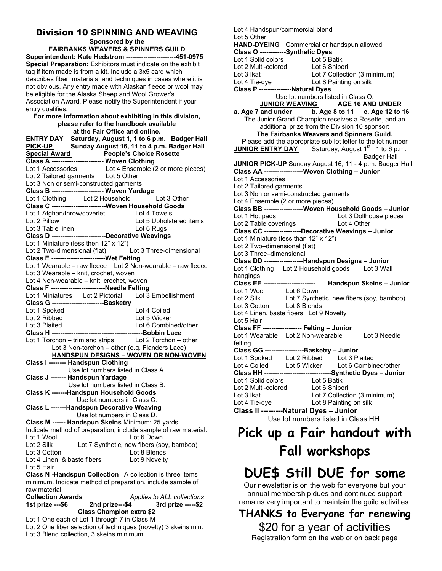#### Division 10 **SPINNING AND WEAVING**

**Sponsored by the** 

**FAIRBANKS WEAVERS & SPINNERS GUILD Superintendent: Kate Hedstrom -----------------------451-0975 Special Preparation:** Exhibitors must indicate on the exhibit tag if item made is from a kit. Include a 3x5 card which describes fiber, materials, and techniques in cases where it is not obvious. Any entry made with Alaskan fleece or wool may be eligible for the Alaska Sheep and Wool Grower's Association Award. Please notify the Superintendent if your entry qualifies.

#### **For more information about exhibiting in this division, please refer to the handbook available at the Fair Office and online.**

**ENTRY DAY Saturday, August 1, 1 to 6 p.m. Badger Hall**  PICK-UP Sunday August 16, 11 to 4 p.m. Badger Hall **Special Award People's Choice Rosette Class A ------------------------ Woven Clothing**  Lot 1 Accessories Lot 4 Ensemble (2 or more pieces) Lot 2 Tailored garments Lot 5 Other Lot 3 Non or semi-constructed garments **Class B ------------------------ Woven Yardage**  Lot 1 Clothing Lot 2 Household **Class C -------------------------Woven Household Goods**  Lot 1 Afghan/throw/coverlet Lot 4 Towels Lot 2 Pillow Lot 5 Upholstered items Lot 3 Table linen Lot 6 Rugs **Class D -------------------------Decorative Weavings**  Lot 1 Miniature (less then 12" x 12") Lot 2 Two-dimensional (flat) Lot 3 Three-dimensional **Class E -------------------------Wet Felting**  Lot 1 Wearable – raw fleece Lot 2 Non-wearable – raw fleece Lot 3 Wearable – knit, crochet, woven Lot 4 Non-wearable – knit, crochet, woven **Class F ---------------------------Needle Felting**<br>
Lot 1 Miniatures Lot 2 Pictorial Lot 3 Embellishment Lot 1 Miniatures Lot 2 Pictorial **Class G ------------------------Basketry**  Lot 1 Spoked Lot 4 Coiled Lot 2 Ribbed Lot 5 Wicker Lot 3 Plaited Lot 6 Combined/other **Class H ------------------------------------------Bobbin Lace**  Lot 1 Torchon – trim and strips Lot 2 Torchon – other Lot 3 Non-torchon – other (e.g. Flanders Lace)  **HANDSPUN DESIGNS – WOVEN OR NON-WOVEN Class I -------- Handspun Clothing**  Use lot numbers listed in Class A. **Class J ------- Handspun Yardage**  Use lot numbers listed in Class B. **Class K -------Handspun Household Goods**  Use lot numbers in Class C. **Class L -------Handspun Decorative Weaving**  Use lot numbers in Class D. **Class M ------ Handspun Skeins** Minimum: 25 yards Indicate method of preparation, include sample of raw material. Lot 1 Wool Lot 7 Synthetic, new fibers (sc<br>Lot 7 Synthetic, new fibers (sc Lot 2 Silk Lot 7 Synthetic, new fibers (soy, bamboo)<br>Lot 3 Cotton Lot 8 Blends Lot 8 Blends Lot 4 Linen, & baste fibers Lot 9 Novelty Lot 5 Hair **Class N -Handspun Collection** A collection is three items minimum. Indicate method of preparation, include sample of raw material. **Collection Awards** *Applies to ALL collections* 

**1st prize ---\$6 2nd prize---\$4 3rd prize -----\$2 Class Champion extra \$2** 

Lot 1 One each of Lot 1 through 7 in Class M

Lot 2 One fiber selection of techniques (novelty) 3 skeins min. Lot 3 Blend collection, 3 skeins minimum

Lot 4 Handspun/commercial blend

#### Lot 5 Other

**HAND-DYEING** Commercial or handspun allowed **Class O ------------Synthetic Dyes**  Lot 1 Solid colors Lot 5 Batik Lot 2 Multi-colored Lot 6 Shibori Lot 3 Ikat Lot 7 Collection (3 minimum) Lot 4 Tie-dye Lot 8 Painting on silk **Class P ---------------Natural Dyes**  Use lot numbers listed in Class O. **JUNIOR WEAVING AGE 16 AND UNDER a. Age 7 and under b. Age 8 to 11 c. Age 12 to 16**  The Junior Grand Champion receives a Rosette, and an additional prize from the Division 10 sponsor: **The Fairbanks Weavers and Spinners Guild.**  Please add the appropriate sub lot letter to the lot number **JUNIOR ENTRY DAY** Saturday, August 1<sup>st</sup>, 1 to 6 p.m. Badger Hall **JUNIOR PICK-UP** Sunday August 16, 11 - 4 p.m. Badger Hall **Class AA ------------------Woven Clothing – Junior**  Lot 1 Accessories Lot 2 Tailored garments Lot 3 Non or semi-constructed garments Lot 4 Ensemble (2 or more pieces) **Class BB ------------------Woven Household Goods – Junior**  Lot 1 Hot pads Lot 3 Dollhouse pieces Lot 2 Table coverings Lot 4 Other **Class CC -----------------Decorative Weavings – Junior**  Lot 1 Miniature (less than 12" x 12") Lot 2 Two–dimensional (flat) Lot 3 Three–dimensional<br>Class DD --------------------**---Handspun Designs – Junior** Lot 1 Clothing Lot 2 Household goods Lot 3 Wall hangings **Class EE ------------------------ Handspun Skeins – Junior**  Lot 1 Wool Lot 6 Down Lot 2 Silk Lot 7 Synthetic, new fibers (soy, bamboo) Lot 3 Cotton Lot 8 Blends Lot 4 Linen, baste fibers Lot 9 Novelty Lot 5 Hair **Class FF ------------------ Felting – Junior**  Lot 1 Wearable Lot 2 Non-wearable Lot 3 Needle felting **Class GG ------------------Basketry – Junior**  Lot 1 Spoked Lot 2 Ribbed Lot 3 Plaited Lot 4 Coiled Lot 5 Wicker Lot 6 Combined/other **Class HH -------------------------------Synthetic Dyes – Junior**  Lot 1 Solid colors Lot 5 Batik Lot 2 Multi-colored Lot 6 Shibori Lot 3 Ikat Lot 7 Collection (3 minimum)<br>
Lot 4 Tie-dye Lot 8 Painting on silk Lot 8 Painting on silk **Class II ---------Natural Dyes – Junior**  Use lot numbers listed in Class HH.

### **Pick up a Fair handout with Fall workshops**

## **DUE\$ Still DUE for some**

Our newsletter is on the web for everyone but your annual membership dues and continued support remains very important to maintain the guild activities.

**THANKS to Everyone for renewing**  \$20 for a year of activities Registration form on the web or on back page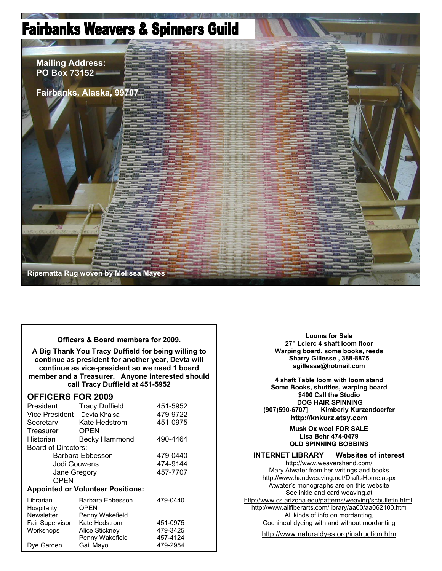## **Fairbanks Weavers & Spinners Guild**



**Officers & Board members for 2009.** 

**A Big Thank You Tracy Duffield for being willing to continue as president for another year, Devta will continue as vice-president so we need 1 board member and a Treasurer. Anyone interested should call Tracy Duffield at 451-5952** 

#### **OFFICERS FOR 2009**

| President                                | <b>Tracy Duffield</b> | 451-5952 |  |
|------------------------------------------|-----------------------|----------|--|
| Vice President                           | Devta Khalsa          | 479-9722 |  |
| Secretary                                | Kate Hedstrom         | 451-0975 |  |
| Treasurer                                | <b>OPEN</b>           |          |  |
| Historian                                | <b>Becky Hammond</b>  | 490-4464 |  |
| Board of Directors:                      |                       |          |  |
| Barbara Ebbesson                         |                       | 479-0440 |  |
| Jodi Gouwens                             |                       | 474-9144 |  |
| Jane Gregory                             |                       | 457-7707 |  |
| OPEN                                     |                       |          |  |
| <b>Appointed or Volunteer Positions:</b> |                       |          |  |
| Librarian                                | Barbara Ebbesson      | 479-0440 |  |
| Hospitality                              | <b>OPEN</b>           |          |  |
| Newsletter                               | Penny Wakefield       |          |  |
| <b>Fair Supervisor</b>                   | Kate Hedstrom         | 451-0975 |  |
| Workshops                                | Alice Stickney        | 479-3425 |  |
|                                          | Penny Wakefield       | 457-4124 |  |
| Dye Garden                               | Gail Mayo             | 479-2954 |  |

**Looms for Sale 27" Lclerc 4 shaft loom floor Warping board, some books, reeds Sharry Gillesse , 388-8875 sgillesse@hotmail.com** 

**4 shaft Table loom with loom stand Some Books, shuttles, warping board \$400 Call the Studio DOG HAIR SPINNING**<br>Kimberly Kurz **Kimberly (907)590-6707] Kimberly Kurzendoerfer http://knkurz.etsy.com** 

> **Musk Ox wool FOR SALE Lisa Behr 474-0479 OLD SPINNING BOBBINS**

#### **INTERNET LIBRARY Websites of interest**  http://www.weavershand.com/ Mary Atwater from her writings and books

http://www.handweaving.net/DraftsHome.aspx Atwater's monographs are on this website See inkle and card weaving.at http://www.cs.arizona.edu/patterns/weaving/scbulletin.html. http://www.allfiberarts.com/library/aa00/aa062100.htm All kinds of info on mordanting, Cochineal dyeing with and without mordanting

http://www.naturaldyes.org/instruction.htm